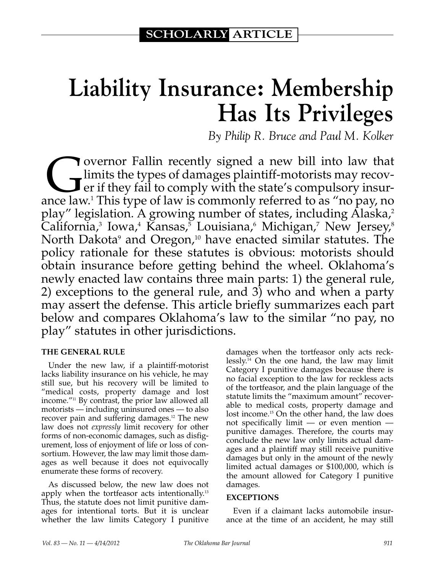# **Liability Insurance: Membership Has Its Privileges**

*By Philip R. Bruce and Paul M. Kolker*

**Governor Fallin recently signed a new bill into law that**<br>limits the types of damages plaintiff-motorists may recover<br>er if they fail to comply with the state's compulsory insur-<br>nce law<sup>1</sup> This type of law is commonly re limits the types of damages plaintiff-motorists may recover if they fail to comply with the state's compulsory insurance law.1 This type of law is commonly referred to as "no pay, no play" legislation. A growing number of states, including Alaska,<sup>2</sup> California,<sup>3</sup> Iowa,<sup>4</sup> Kansas,<sup>5</sup> Louisiana,<sup>6</sup> Michigan,<sup>7</sup> New Jersey,<sup>8</sup> North Dakota<sup>9</sup> and Oregon,<sup>10</sup> have enacted similar statutes. The policy rationale for these statutes is obvious: motorists should obtain insurance before getting behind the wheel. Oklahoma's newly enacted law contains three main parts: 1) the general rule, 2) exceptions to the general rule, and 3) who and when a party may assert the defense. This article briefly summarizes each part below and compares Oklahoma's law to the similar "no pay, no play" statutes in other jurisdictions.

#### **THE GENERAL RULE**

Under the new law, if a plaintiff-motorist lacks liability insurance on his vehicle, he may still sue, but his recovery will be limited to "medical costs, property damage and lost income."11 By contrast, the prior law allowed all motorists — including uninsured ones — to also recover pain and suffering damages.<sup>12</sup> The new law does not *expressly* limit recovery for other forms of non-economic damages, such as disfigurement, loss of enjoyment of life or loss of consortium. However, the law may limit those damages as well because it does not equivocally enumerate these forms of recovery.

As discussed below, the new law does not apply when the tortfeasor acts intentionally.13 Thus, the statute does not limit punitive damages for intentional torts. But it is unclear whether the law limits Category I punitive damages when the tortfeasor only acts recklessly.<sup>14</sup> On the one hand, the law may limit Category I punitive damages because there is no facial exception to the law for reckless acts of the tortfeasor, and the plain language of the statute limits the "maximum amount" recoverable to medical costs, property damage and lost income.<sup>15</sup> On the other hand, the law does not specifically limit — or even mention punitive damages. Therefore, the courts may conclude the new law only limits actual damages and a plaintiff may still receive punitive damages but only in the amount of the newly limited actual damages or \$100,000, which is the amount allowed for Category I punitive damages.

#### **EXCEPTIONS**

Even if a claimant lacks automobile insurance at the time of an accident, he may still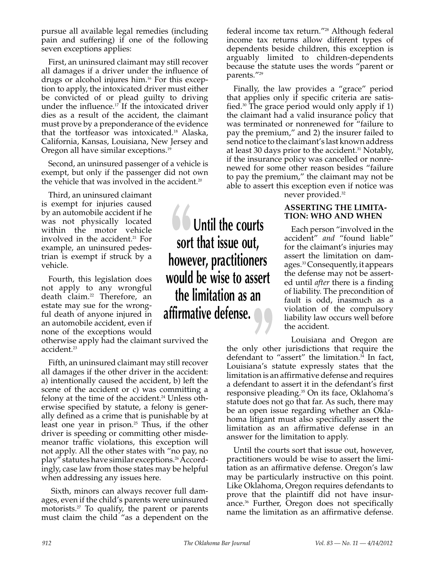pursue all available legal remedies (including pain and suffering) if one of the following seven exceptions applies:

First, an uninsured claimant may still recover all damages if a driver under the influence of drugs or alcohol injures him.16 For this exception to apply, the intoxicated driver must either be convicted of or plead guilty to driving under the influence. $17$  If the intoxicated driver dies as a result of the accident, the claimant must prove by a preponderance of the evidence that the tortfeasor was intoxicated.18 Alaska, California, Kansas, Louisiana, New Jersey and Oregon all have similar exceptions.19

Second, an uninsured passenger of a vehicle is exempt, but only if the passenger did not own the vehicle that was involved in the accident.<sup>20</sup>

Third, an uninsured claimant is exempt for injuries caused by an automobile accident if he was not physically located within the motor vehicle involved in the accident.<sup>21</sup> For example, an uninsured pedestrian is exempt if struck by a vehicle.

Fourth, this legislation does not apply to any wrongful death claim.22 Therefore, an estate may sue for the wrongful death of anyone injured in an automobile accident, even if none of the exceptions would

otherwise apply had the claimant survived the accident.<sup>23</sup>

Fifth, an uninsured claimant may still recover all damages if the other driver in the accident: a) intentionally caused the accident, b) left the scene of the accident or c) was committing a felony at the time of the accident.<sup>24</sup> Unless otherwise specified by statute, a felony is generally defined as a crime that is punishable by at least one year in prison.<sup>25</sup> Thus, if the other driver is speeding or committing other misdemeanor traffic violations, this exception will not apply. All the other states with "no pay, no play" statutes have similar exceptions.26 Accordingly, case law from those states may be helpful when addressing any issues here.

 Sixth, minors can always recover full damages, even if the child's parents were uninsured motorists.<sup>27</sup> To qualify, the parent or parents must claim the child "as a dependent on the

**b Until the courts sort that issue out, however, practitioners would be wise to assert the limitation as an affirmative defense.** 

federal income tax return."28 Although federal income tax returns allow different types of dependents beside children, this exception is arguably limited to children-dependents because the statute uses the words "parent or parents."29

Finally, the law provides a "grace" period that applies only if specific criteria are satisfied.30 The grace period would only apply if 1) the claimant had a valid insurance policy that was terminated or nonrenewed for "failure to pay the premium," and 2) the insurer failed to send notice to the claimant's last known address at least 30 days prior to the accident.<sup>31</sup> Notably, if the insurance policy was cancelled or nonrenewed for some other reason besides "failure to pay the premium," the claimant may not be able to assert this exception even if notice was

never provided.32

#### **ASSERTING THE LIMITA-TION: WHO AND WHEN**

Each person "involved in the accident" *and* "found liable" for the claimant's injuries may assert the limitation on damages.33 Consequently, it appears the defense may not be asserted until *after* there is a finding of liability. The precondition of fault is odd, inasmuch as a violation of the compulsory liability law occurs well before the accident.

Louisiana and Oregon are the only other jurisdictions that require the defendant to "assert" the limitation.<sup>34</sup> In fact, Louisiana's statute expressly states that the limitation is an affirmative defense and requires a defendant to assert it in the defendant's first responsive pleading.<sup>35</sup> On its face, Oklahoma's statute does not go that far. As such, there may be an open issue regarding whether an Oklahoma litigant must also specifically assert the limitation as an affirmative defense in an answer for the limitation to apply.

Until the courts sort that issue out, however, practitioners would be wise to assert the limitation as an affirmative defense. Oregon's law may be particularly instructive on this point. Like Oklahoma, Oregon requires defendants to prove that the plaintiff did not have insurance.36 Further, Oregon does not specifically name the limitation as an affirmative defense.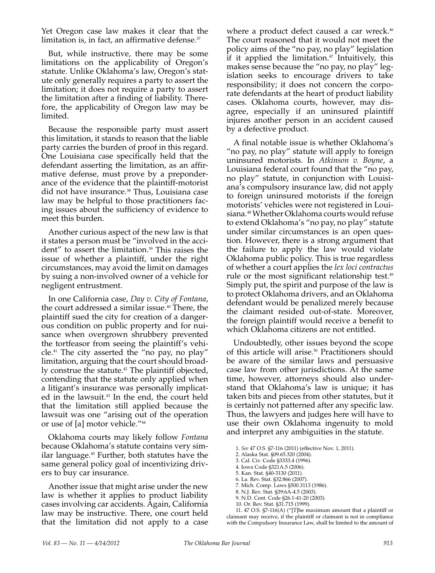Yet Oregon case law makes it clear that the limitation is, in fact, an affirmative defense. $37$ 

But, while instructive, there may be some limitations on the applicability of Oregon's statute. Unlike Oklahoma's law, Oregon's statute only generally requires a party to assert the limitation; it does not require a party to assert the limitation after a finding of liability. Therefore, the applicability of Oregon law may be limited.

Because the responsible party must assert this limitation, it stands to reason that the liable party carries the burden of proof in this regard. One Louisiana case specifically held that the defendant asserting the limitation, as an affirmative defense, must prove by a preponderance of the evidence that the plaintiff-motorist did not have insurance.<sup>38</sup> Thus, Louisiana case law may be helpful to those practitioners facing issues about the sufficiency of evidence to meet this burden.

Another curious aspect of the new law is that it states a person must be "involved in the accident" to assert the limitation.<sup>39</sup> This raises the issue of whether a plaintiff, under the right circumstances, may avoid the limit on damages by suing a non-involved owner of a vehicle for negligent entrustment.

In one California case, *Day v. City of Fontana*, the court addressed a similar issue.<sup>40</sup> There, the plaintiff sued the city for creation of a dangerous condition on public property and for nuisance when overgrown shrubbery prevented the tortfeasor from seeing the plaintiff's vehicle. $41$  The city asserted the "no pay, no play" limitation, arguing that the court should broadly construe the statute.<sup>42</sup> The plaintiff objected, contending that the statute only applied when a litigant's insurance was personally implicated in the lawsuit.<sup>43</sup> In the end, the court held that the limitation still applied because the lawsuit was one "arising out of the operation or use of [a] motor vehicle."44

Oklahoma courts may likely follow *Fontana*  because Oklahoma's statute contains very similar language.45 Further, both statutes have the same general policy goal of incentivizing drivers to buy car insurance.

Another issue that might arise under the new law is whether it applies to product liability cases involving car accidents. Again, California law may be instructive. There, one court held that the limitation did not apply to a case where a product defect caused a car wreck.<sup>46</sup> The court reasoned that it would not meet the policy aims of the "no pay, no play" legislation if it applied the limitation.<sup>47</sup> Intuitively, this makes sense because the "no pay, no play" legislation seeks to encourage drivers to take responsibility; it does not concern the corporate defendants at the heart of product liability cases. Oklahoma courts, however, may disagree, especially if an uninsured plaintiff injures another person in an accident caused by a defective product.

A final notable issue is whether Oklahoma's "no pay, no play" statute will apply to foreign uninsured motorists. In *Atkinson v. Boyne*, a Louisiana federal court found that the "no pay, no play" statute, in conjunction with Louisiana's compulsory insurance law, did not apply to foreign uninsured motorists if the foreign motorists' vehicles were not registered in Louisiana.48 Whether Oklahoma courts would refuse to extend Oklahoma's "no pay, no play" statute under similar circumstances is an open question. However, there is a strong argument that the failure to apply the law would violate Oklahoma public policy. This is true regardless of whether a court applies the *lex loci contractus* rule or the most significant relationship test.<sup>49</sup> Simply put, the spirit and purpose of the law is to protect Oklahoma drivers, and an Oklahoma defendant would be penalized merely because the claimant resided out-of-state. Moreover, the foreign plaintiff would receive a benefit to which Oklahoma citizens are not entitled.

Undoubtedly, other issues beyond the scope of this article will arise.<sup>50</sup> Practitioners should be aware of the similar laws and persuasive case law from other jurisdictions. At the same time, however, attorneys should also understand that Oklahoma's law is unique; it has taken bits and pieces from other statutes, but it is certainly not patterned after any specific law. Thus, the lawyers and judges here will have to use their own Oklahoma ingenuity to mold and interpret any ambiguities in the statute.

1. *See* 47 O.S. §7-116 (2011) (effective Nov. 1, 2011).

2. Alaska Stat. §09.65.320 (2004).

3. Cal. Civ. Code §3333.4 (1996).

4. Iowa Code §321A.5 (2006).

5. Kan. Stat. §40-3130 (2011).

6. La. Rev. Stat. §32:866 (2007).

- 7. Mich. Comp. Laws §500.3113 (1986).
- 8. N.J. Rev. Stat. §39:6A-4.5 (2003).
- 9. N.D. Cent. Code §26.1-41-20 (2003).
- 10. Or. Rev. Stat. §31.715 (1999).

11. 47 O.S. §7-116(A) ("[T]he maximum amount that a plaintiff or claimant may receive, if the plaintiff or claimant is not in compliance with the Compulsory Insurance Law, shall be limited to the amount of